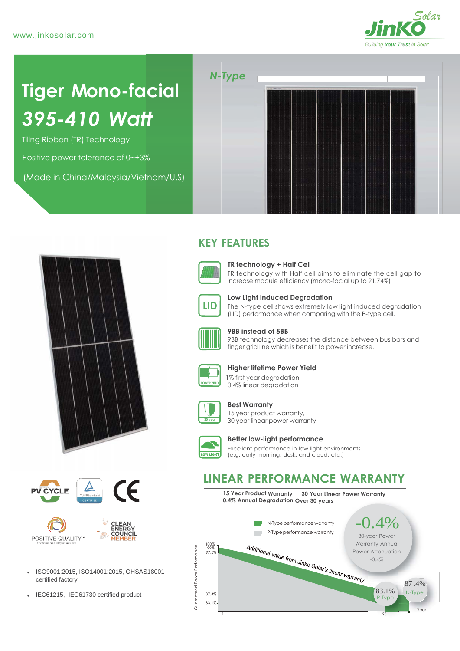

# **Tiger Mono-facial** *395-410 Watt*

Tiling Ribbon (TR) Technology

Positive power tolerance of 0~+3%

(Made in China/Malaysia/Vietnam/U.S)









- ISO9001:2015, ISO14001:2015, OHSAS18001
- IEC61215, IEC61730 certified product  $\frac{8}{5}$  87.4%

## **KEY FEATURES**



### **TR technology + Half Cell**

TR technology with Half cell aims to eliminate the cell gap to increase module efficiency (mono-facial up to 21.74%)



**Low Light Induced Degradation**

The N-type cell shows extremely low light induced degradation (LID) performance when comparing with the P-type cell.



#### **9BB instead of 5BB**

9BB technology decreases the distance between bus bars and finger grid line which is benefit to power increase.



#### **Higher lifetime Power Yield**

 1% first year degradation, 0.4% linear degradation



#### **Best Warranty**

15 year product warranty, 30 year linear power warranty



#### **Better low-light performance**

Excellent performance in low-light environments (e.g. early morning, dusk, and cloud, etc.)

## **LINEAR PERFORMANCE WARRANTY**

**15 Year Product Warranty 30 Year Linear Power Warranty 0.4% Annual Degradation Over 30 years**